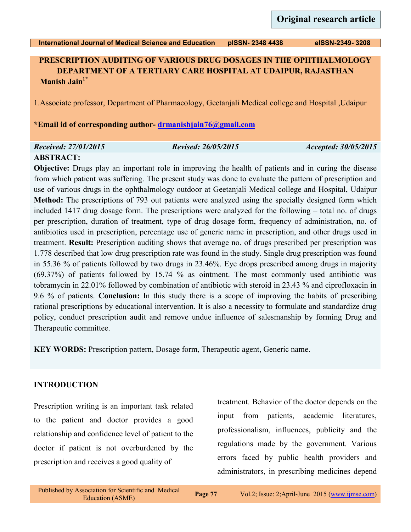## **PRESCRIPTION AUDITING OF VARIOUS DRUG DOSAGES IN THE OPHTHALMOLOGY DEPARTMENT OF A TERTIARY CARE HOSPITAL AT UDAIPUR, RAJASTHAN Manish Jain1\***

1.Associate professor, Department of Pharmacology, Geetanjali Medical college and Hospital ,Udaipur

**\*Email id of corresponding author- [drmanishjain76@gmail.com](mailto:drmanishjain76@gmail.com)**

# *Received: 27/01/2015 Revised: 26/05/2015 Accepted: 30/05/2015* **ABSTRACT:**

**Objective:** Drugs play an important role in improving the health of patients and in curing the disease from which patient was suffering. The present study was done to evaluate the pattern of prescription and use of various drugs in the ophthalmology outdoor at Geetanjali Medical college and Hospital, Udaipur **Method:** The prescriptions of 793 out patients were analyzed using the specially designed form which included 1417 drug dosage form. The prescriptions were analyzed for the following – total no. of drugs per prescription, duration of treatment, type of drug dosage form, frequency of administration, no. of antibiotics used in prescription, percentage use of generic name in prescription, and other drugs used in treatment. **Result:** Prescription auditing shows that average no. of drugs prescribed per prescription was 1.778 described that low drug prescription rate was found in the study. Single drug prescription was found in 55.36 % of patients followed by two drugs in 23.46%. Eye drops prescribed among drugs in majority (69.37%) of patients followed by 15.74 % as ointment. The most commonly used antibiotic was tobramycin in 22.01% followed by combination of antibiotic with steroid in 23.43 % and ciprofloxacin in 9.6 % of patients. **Conclusion:** In this study there is a scope of improving the habits of prescribing rational prescriptions by educational intervention. It is also a necessity to formulate and standardize drug policy, conduct prescription audit and remove undue influence of salesmanship by forming Drug and Therapeutic committee.

**KEY WORDS:** Prescription pattern, Dosage form, Therapeutic agent, Generic name.

## **INTRODUCTION**

Prescription writing is an important task related to the patient and doctor provides a good relationship and confidence level of patient to the doctor if patient is not overburdened by the prescription and receives a good quality of

treatment. Behavior of the doctor depends on the input from patients, academic literatures, professionalism, influences, publicity and the regulations made by the government. Various errors faced by public health providers and administrators, in prescribing medicines depend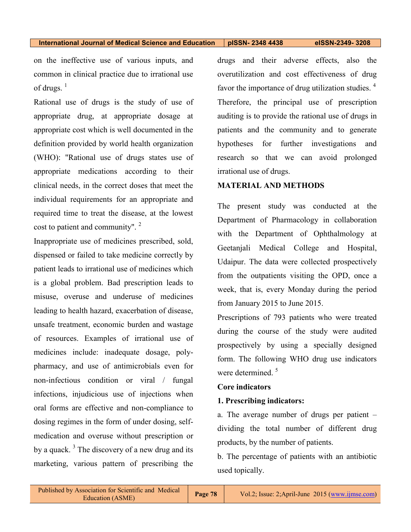on the ineffective use of various inputs, and common in clinical practice due to irrational use of drugs.  $<sup>1</sup>$ </sup>

Rational use of drugs is the study of use of appropriate drug, at appropriate dosage at appropriate cost which is well documented in the definition provided by world health organization (WHO): "Rational use of drugs states use of appropriate medications according to their clinical needs, in the correct doses that meet the individual requirements for an appropriate and required time to treat the disease, at the lowest cost to patient and community".<sup>2</sup>

Inappropriate use of medicines prescribed, sold, dispensed or failed to take medicine correctly by patient leads to irrational use of medicines which is a global problem. Bad prescription leads to misuse, overuse and underuse of medicines leading to health hazard, exacerbation of disease, unsafe treatment, economic burden and wastage of resources. Examples of irrational use of medicines include: inadequate dosage, polypharmacy, and use of antimicrobials even for non-infectious condition or viral / fungal infections, injudicious use of injections when oral forms are effective and non-compliance to dosing regimes in the form of under dosing, selfmedication and overuse without prescription or by a quack.<sup>3</sup> The discovery of a new drug and its marketing, various pattern of prescribing the

drugs and their adverse effects, also the overutilization and cost effectiveness of drug favor the importance of drug utilization studies.  $4\overline{ }$ Therefore, the principal use of prescription auditing is to provide the rational use of drugs in patients and the community and to generate hypotheses for further investigations and research so that we can avoid prolonged irrational use of drugs.

### **MATERIAL AND METHODS**

The present study was conducted at the Department of Pharmacology in collaboration with the Department of Ophthalmology at Geetanjali Medical College and Hospital, Udaipur. The data were collected prospectively from the outpatients visiting the OPD, once a week, that is, every Monday during the period from January 2015 to June 2015.

Prescriptions of 793 patients who were treated during the course of the study were audited prospectively by using a specially designed form. The following WHO drug use indicators were determined.<sup>5</sup>

## **Core indicators**

## **1. Prescribing indicators:**

a. The average number of drugs per patient – dividing the total number of different drug products, by the number of patients.

b. The percentage of patients with an antibiotic used topically.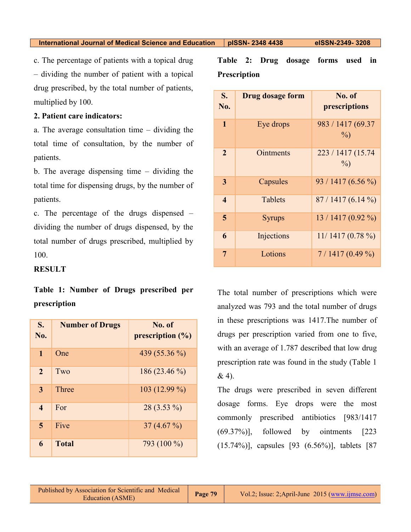c. The percentage of patients with a topical drug – dividing the number of patient with a topical drug prescribed, by the total number of patients, multiplied by 100.

# **2. Patient care indicators:**

a. The average consultation time – dividing the total time of consultation, by the number of patients.

b. The average dispensing time – dividing the total time for dispensing drugs, by the number of patients.

c. The percentage of the drugs dispensed – dividing the number of drugs dispensed, by the total number of drugs prescribed, multiplied by 100.

## **RESULT**

**Table 1: Number of Drugs prescribed per prescription**

| S.<br>No.              | <b>Number of Drugs</b> | No. of<br>prescription $(\% )$ |
|------------------------|------------------------|--------------------------------|
| 1                      | One                    | 439 (55.36 %)                  |
| $\mathbf{2}$           | Two                    | $186(23.46\%)$                 |
| 3                      | Three                  | 103 (12.99 %)                  |
| $\boldsymbol{\Lambda}$ | For                    | $28(3.53\%)$                   |
| 5                      | Five                   | $37(4.67\%)$                   |
| 6                      | <b>Total</b>           | 793 (100 %)                    |

**Table 2: Drug dosage forms used in Prescription** 

| S.<br>No.        | <b>Drug dosage form</b> | No. of<br>prescriptions     |
|------------------|-------------------------|-----------------------------|
| $\mathbf{1}$     | Eye drops               | 983 / 1417 (69.37<br>$\%$   |
| 2                | Ointments               | 223 / 1417 (15.74<br>$\%$ ) |
| 3                | Capsules                | 93 / 1417 (6.56 %)          |
| $\boldsymbol{4}$ | Tablets                 | $87/1417(6.14\%)$           |
| 5                | <b>Syrups</b>           | $13/1417(0.92\%)$           |
| 6                | Injections              | $11/1417(0.78\%)$           |
| 7                | Lotions                 | $7/1417(0.49\%)$            |

The total number of prescriptions which were analyzed was 793 and the total number of drugs in these prescriptions was 1417.The number of drugs per prescription varied from one to five, with an average of 1.787 described that low drug prescription rate was found in the study (Table 1 & 4).

The drugs were prescribed in seven different dosage forms. Eye drops were the most commonly prescribed antibiotics [983/1417 (69.37%)], followed by ointments [223 (15.74%)], capsules [93 (6.56%)], tablets [87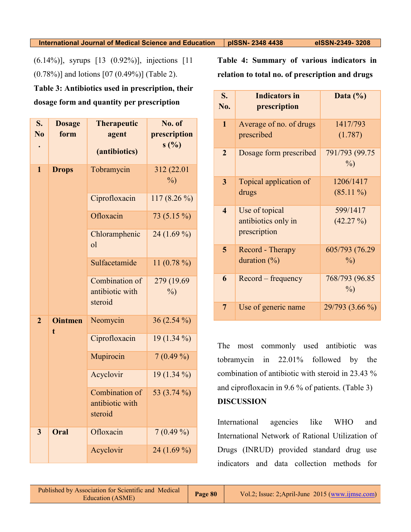(6.14%)], syrups [13 (0.92%)], injections [11 (0.78%)] and lotions [07 (0.49%)] (Table 2).

**Table 3: Antibiotics used in prescription, their dosage form and quantity per prescription**

| S.<br>$\overline{\text{No}}$ | <b>Dosage</b><br>form | <b>Therapeutic</b><br>agent<br>(antibiotics) | No. of<br>prescription<br>s(%) |
|------------------------------|-----------------------|----------------------------------------------|--------------------------------|
| $\mathbf{1}$                 | <b>Drops</b>          | Tobramycin                                   | 312 (22.01<br>$\frac{0}{0}$    |
|                              |                       | Ciprofloxacin                                | 117 $(8.26\%)$                 |
|                              |                       | Ofloxacin                                    | 73 (5.15 %)                    |
|                              |                       | Chloramphenic<br><sub>o</sub> l              | 24 $(1.69\%)$                  |
|                              |                       | Sulfacetamide                                | 11 $(0.78\%)$                  |
|                              |                       | Combination of<br>antibiotic with<br>steroid | 279 (19.69)<br>$\frac{0}{0}$   |
| $\overline{2}$               | <b>Ointmen</b><br>t.  | Neomycin                                     | $36(2.54\%)$                   |
|                              |                       | Ciprofloxacin                                | $19(1.34\%)$                   |
|                              |                       | Mupirocin                                    | $7(0.49\%)$                    |
|                              |                       | Acyclovir                                    | $19(1.34\%)$                   |
|                              |                       | Combination of<br>antibiotic with<br>steroid | 53 (3.74 %)                    |
| 3                            | Oral                  | Ofloxacin                                    | $7(0.49\%)$                    |
|                              |                       | Acyclovir                                    | 24 $(1.69\%)$                  |

**Table 4: Summary of various indicators in relation to total no. of prescription and drugs**

| S.<br>No.               | <b>Indicators in</b><br>prescription                  | Data $(\%)$                     |
|-------------------------|-------------------------------------------------------|---------------------------------|
| $\mathbf{1}$            | Average of no. of drugs<br>prescribed                 | 1417/793<br>(1.787)             |
| $\overline{2}$          | Dosage form prescribed                                | 791/793 (99.75<br>$\%$ )        |
| 3                       | Topical application of<br>drugs                       | 1206/1417<br>$(85.11\%)$        |
| $\overline{\mathbf{4}}$ | Use of topical<br>antibiotics only in<br>prescription | 599/1417<br>$(42.27\%)$         |
| 5                       | Record - Therapy<br>duration $(\%)$                   | 605/793 (76.29)<br>$\%$         |
| 6                       | Record – frequency                                    | 768/793 (96.85<br>$\frac{0}{0}$ |
| 7                       | Use of generic name                                   | 29/793 (3.66 %)                 |

The most commonly used antibiotic was tobramycin in 22.01% followed by the combination of antibiotic with steroid in 23.43 % and ciprofloxacin in 9.6 % of patients. (Table 3) **DISCUSSION**

International agencies like WHO and International Network of Rational Utilization of Drugs (INRUD) provided standard drug use indicators and data collection methods for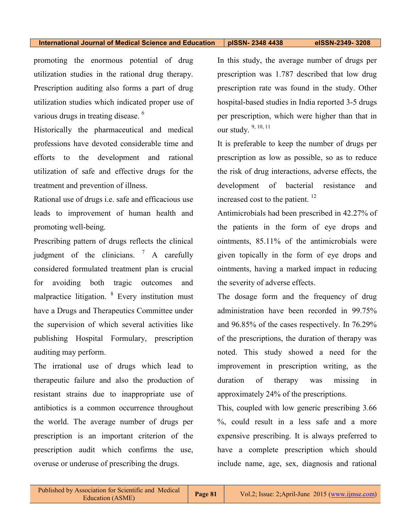promoting the enormous potential of drug utilization studies in the rational drug therapy. Prescription auditing also forms a part of drug utilization studies which indicated proper use of various drugs in treating disease.<sup>6</sup>

Historically the pharmaceutical and medical professions have devoted considerable time and efforts to the development and rational utilization of safe and effective drugs for the treatment and prevention of illness.

Rational use of drugs i.e. safe and efficacious use leads to improvement of human health and promoting well-being.

Prescribing pattern of drugs reflects the clinical judgment of the clinicians.  $\frac{7}{1}$  A carefully considered formulated treatment plan is crucial for avoiding both tragic outcomes and malpractice litigation. <sup>8</sup> Every institution must have a Drugs and Therapeutics Committee under the supervision of which several activities like publishing Hospital Formulary, prescription auditing may perform.

The irrational use of drugs which lead to therapeutic failure and also the production of resistant strains due to inappropriate use of antibiotics is a common occurrence throughout the world. The average number of drugs per prescription is an important criterion of the prescription audit which confirms the use, overuse or underuse of prescribing the drugs.

In this study, the average number of drugs per prescription was 1.787 described that low drug prescription rate was found in the study. Other hospital-based studies in India reported 3-5 drugs per prescription, which were higher than that in our study. 9, 10, 11

It is preferable to keep the number of drugs per prescription as low as possible, so as to reduce the risk of drug interactions, adverse effects, the development of bacterial resistance and increased cost to the patient.<sup>12</sup>

Antimicrobials had been prescribed in 42.27% of the patients in the form of eye drops and ointments, 85.11% of the antimicrobials were given topically in the form of eye drops and ointments, having a marked impact in reducing the severity of adverse effects.

The dosage form and the frequency of drug administration have been recorded in 99.75% and 96.85% of the cases respectively. In 76.29% of the prescriptions, the duration of therapy was noted. This study showed a need for the improvement in prescription writing, as the duration of therapy was missing in approximately 24% of the prescriptions.

This, coupled with low generic prescribing 3.66 %, could result in a less safe and a more expensive prescribing. It is always preferred to have a complete prescription which should include name, age, sex, diagnosis and rational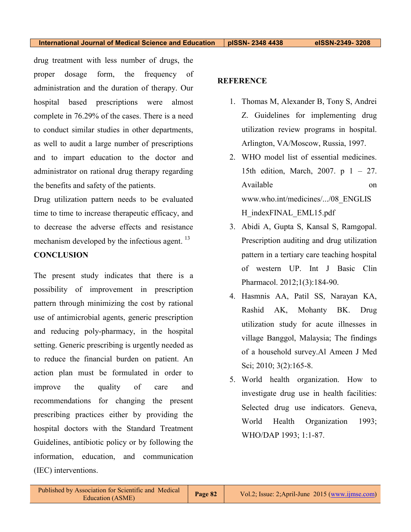drug treatment with less number of drugs, the proper dosage form, the frequency of administration and the duration of therapy. Our hospital based prescriptions were almost complete in 76.29% of the cases. There is a need to conduct similar studies in other departments, as well to audit a large number of prescriptions and to impart education to the doctor and administrator on rational drug therapy regarding the benefits and safety of the patients.

Drug utilization pattern needs to be evaluated time to time to increase therapeutic efficacy, and to decrease the adverse effects and resistance mechanism developed by the infectious agent.<sup>13</sup>

## **CONCLUSION**

The present study indicates that there is a possibility of improvement in prescription pattern through minimizing the cost by rational use of antimicrobial agents, generic prescription and reducing poly-pharmacy, in the hospital setting. Generic prescribing is urgently needed as to reduce the financial burden on patient. An action plan must be formulated in order to improve the quality of care and recommendations for changing the present prescribing practices either by providing the hospital doctors with the Standard Treatment Guidelines, antibiotic policy or by following the information, education, and communication (IEC) interventions.

## **REFERENCE**

- 1. Thomas M, Alexander B, Tony S, Andrei Z. Guidelines for implementing drug utilization review programs in hospital. Arlington, VA/Moscow, Russia, 1997.
- 2. WHO model list of essential medicines. 15th edition, March, 2007. p 1 – 27. Available on www.who.int/medicines/.../08\_ENGLIS H\_indexFINAL\_EML15.pdf
- 3. Abidi A, Gupta S, Kansal S, Ramgopal. Prescription auditing and drug utilization pattern in a tertiary care teaching hospital of western UP. Int J Basic Clin Pharmacol. 2012;1(3):184-90.
- 4. Hasmnis AA, Patil SS, Narayan KA, Rashid AK, Mohanty BK. Drug utilization study for acute illnesses in village Banggol, Malaysia; The findings of a household survey.Al Ameen J Med Sci; 2010; 3(2):165-8.
- 5. World health organization. How to investigate drug use in health facilities: Selected drug use indicators. Geneva, World Health Organization 1993; WHO/DAP 1993; 1:1-87.